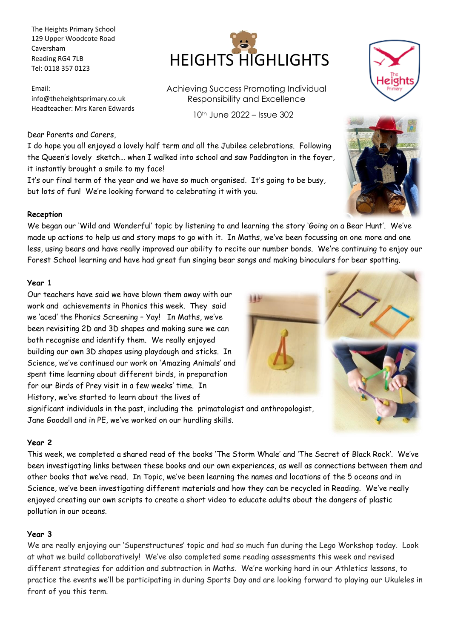The Heights Primary School 129 Upper Woodcote Road Caversham Reading RG4 7LB Tel: 0118 357 0123

Email: info@theheightsprimary.co.uk Headteacher: Mrs Karen Edwards

### Dear Parents and Carers,

I do hope you all enjoyed a lovely half term and all the Jubilee celebrations. Following the Queen's lovely sketch… when I walked into school and saw Paddington in the foyer, it instantly brought a smile to my face!

It's our final term of the year and we have so much organised. It's going to be busy, but lots of fun! We're looking forward to celebrating it with you.

### **Reception**

We began our 'Wild and Wonderful' topic by listening to and learning the story 'Going on a Bear Hunt'. We've made up actions to help us and story maps to go with it. In Maths, we've been focussing on one more and one less, using bears and have really improved our ability to recite our number bonds. We're continuing to enjoy our Forest School learning and have had great fun singing bear songs and making binoculars for bear spotting.

### **Year 1**

Our teachers have said we have blown them away with our 144 work and achievements in Phonics this week. They said we 'aced' the Phonics Screening – Yay! In Maths, we've been revisiting 2D and 3D shapes and making sure we can both recognise and identify them. We really enjoyed building our own 3D shapes using playdough and sticks. In Science, we've continued our work on 'Amazing Animals' and spent time learning about different birds, in preparation for our Birds of Prey visit in a few weeks' time. In History, we've started to learn about the lives of

significant individuals in the past, including the primatologist and anthropologist, Jane Goodall and in PE, we've worked on our hurdling skills.

#### **Year 2**

This week, we completed a shared read of the books 'The Storm Whale' and 'The Secret of Black Rock'. We've been investigating links between these books and our own experiences, as well as connections between them and other books that we've read. In Topic, we've been learning the names and locations of the 5 oceans and in Science, we've been investigating different materials and how they can be recycled in Reading. We've really enjoyed creating our own scripts to create a short video to educate adults about the dangers of plastic pollution in our oceans.

### **Year 3**

We are really enjoying our 'Superstructures' topic and had so much fun during the Lego Workshop today. Look at what we build collaboratively! We've also completed some reading assessments this week and revised different strategies for addition and subtraction in Maths. We're working hard in our Athletics lessons, to practice the events we'll be participating in during Sports Day and are looking forward to playing our Ukuleles in front of you this term.



Achieving Success Promoting Individual Responsibility and Excellence

10th June 2022 – Issue 302





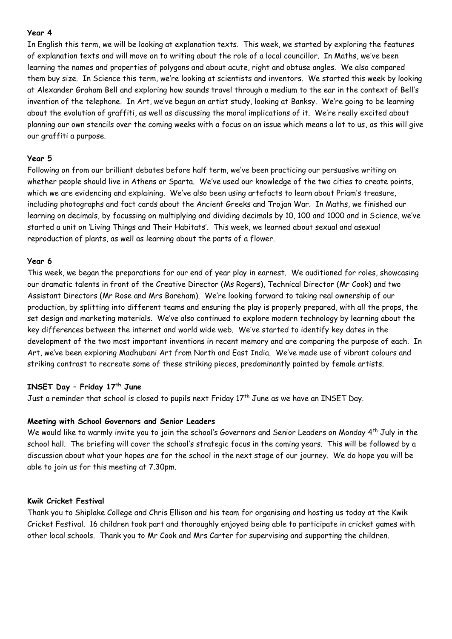### **Year 4**

In English this term, we will be looking at explanation texts. This week, we started by exploring the features of explanation texts and will move on to writing about the role of a local councillor. In Maths, we've been learning the names and properties of polygons and about acute, right and obtuse angles. We also compared them buy size. In Science this term, we're looking at scientists and inventors. We started this week by looking at Alexander Graham Bell and exploring how sounds travel through a medium to the ear in the context of Bell's invention of the telephone. In Art, we've begun an artist study, looking at Banksy. We're going to be learning about the evolution of graffiti, as well as discussing the moral implications of it. We're really excited about planning our own stencils over the coming weeks with a focus on an issue which means a lot to us, as this will give our graffiti a purpose.

## **Year 5**

Following on from our brilliant debates before half term, we've been practicing our persuasive writing on whether people should live in Athens or Sparta. We've used our knowledge of the two cities to create points, which we are evidencing and explaining. We've also been using artefacts to learn about Priam's treasure, including photographs and fact cards about the Ancient Greeks and Trojan War. In Maths, we finished our learning on decimals, by focussing on multiplying and dividing decimals by 10, 100 and 1000 and in Science, we've started a unit on 'Living Things and Their Habitats'. This week, we learned about sexual and asexual reproduction of plants, as well as learning about the parts of a flower.

### **Year 6**

This week, we began the preparations for our end of year play in earnest. We auditioned for roles, showcasing our dramatic talents in front of the Creative Director (Ms Rogers), Technical Director (Mr Cook) and two Assistant Directors (Mr Rose and Mrs Bareham). We're looking forward to taking real ownership of our production, by splitting into different teams and ensuring the play is properly prepared, with all the props, the set design and marketing materials. We've also continued to explore modern technology by learning about the key differences between the internet and world wide web. We've started to identify key dates in the development of the two most important inventions in recent memory and are comparing the purpose of each. In Art, we've been exploring Madhubani Art from North and East India. We've made use of vibrant colours and striking contrast to recreate some of these striking pieces, predominantly painted by female artists.

# **INSET Day – Friday 17th June**

Just a reminder that school is closed to pupils next Friday 17<sup>th</sup> June as we have an INSET Day.

## **Meeting with School Governors and Senior Leaders**

We would like to warmly invite you to join the school's Governors and Senior Leaders on Monday 4<sup>th</sup> July in the school hall. The briefing will cover the school's strategic focus in the coming years. This will be followed by a discussion about what your hopes are for the school in the next stage of our journey. We do hope you will be able to join us for this meeting at 7.30pm.

### **Kwik Cricket Festival**

Thank you to Shiplake College and Chris Ellison and his team for organising and hosting us today at the Kwik Cricket Festival. 16 children took part and thoroughly enjoyed being able to participate in cricket games with other local schools. Thank you to Mr Cook and Mrs Carter for supervising and supporting the children.